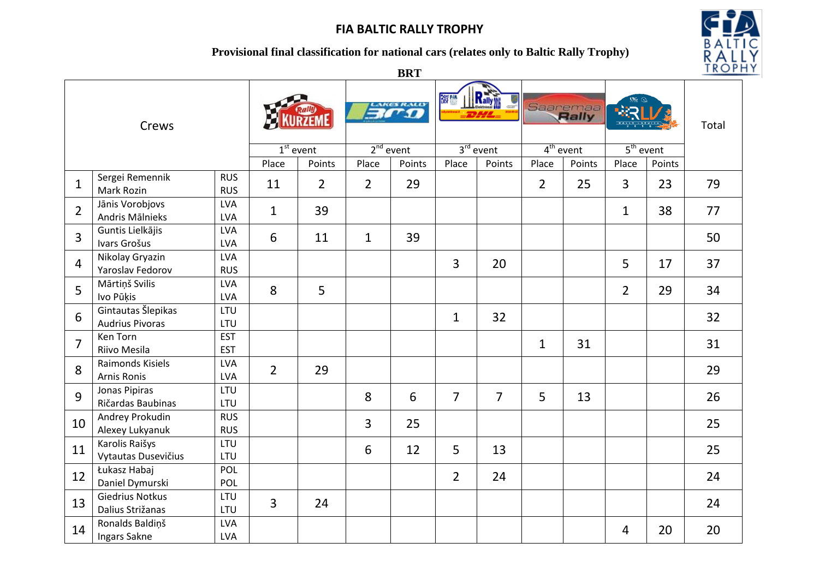### **Provisional final classification for national cars (relates only to Baltic Rally Trophy)**



**BRT**

| Crews          |                                              |                          |                |                | LAKES RALLY    |             | Rally<br>窗     |                | Saaremaa       |        |                |        | Total |
|----------------|----------------------------------------------|--------------------------|----------------|----------------|----------------|-------------|----------------|----------------|----------------|--------|----------------|--------|-------|
|                |                                              |                          |                | $1st$ event    |                | $2nd$ event | $3rd$ event    |                | $4th$ event    |        | $5th$ event    |        |       |
|                |                                              |                          | Place          | Points         | Place          | Points      | Place          | Points         | Place          | Points | Place          | Points |       |
| $\mathbf{1}$   | Sergei Remennik<br>Mark Rozin                | <b>RUS</b><br><b>RUS</b> | 11             | $\overline{2}$ | $\overline{2}$ | 29          |                |                | $\overline{2}$ | 25     | $\overline{3}$ | 23     | 79    |
| $\overline{2}$ | Jānis Vorobjovs<br>Andris Mālnieks           | <b>LVA</b><br><b>LVA</b> | $\mathbf{1}$   | 39             |                |             |                |                |                |        | $\mathbf{1}$   | 38     | 77    |
| 3              | Guntis Lielkājis<br>Ivars Grošus             | <b>LVA</b><br><b>LVA</b> | 6              | 11             | $\mathbf{1}$   | 39          |                |                |                |        |                |        | 50    |
| 4              | Nikolay Gryazin<br>Yaroslav Fedorov          | <b>LVA</b><br><b>RUS</b> |                |                |                |             | $\overline{3}$ | 20             |                |        | 5              | 17     | 37    |
| 5              | Mārtiņš Svilis<br>Ivo Pūķis                  | <b>LVA</b><br><b>LVA</b> | 8              | 5              |                |             |                |                |                |        | $\overline{2}$ | 29     | 34    |
| 6              | Gintautas Šlepikas<br><b>Audrius Pivoras</b> | LTU<br>LTU               |                |                |                |             | $\mathbf{1}$   | 32             |                |        |                |        | 32    |
| 7              | Ken Torn<br>Riivo Mesila                     | <b>EST</b><br><b>EST</b> |                |                |                |             |                |                | $\mathbf{1}$   | 31     |                |        | 31    |
| 8              | Raimonds Kisiels<br><b>Arnis Ronis</b>       | <b>LVA</b><br><b>LVA</b> | $\overline{2}$ | 29             |                |             |                |                |                |        |                |        | 29    |
| 9              | Jonas Pipiras<br>Ričardas Baubinas           | LTU<br>LTU               |                |                | 8              | 6           | $\overline{7}$ | $\overline{7}$ | 5              | 13     |                |        | 26    |
| 10             | Andrey Prokudin<br>Alexey Lukyanuk           | <b>RUS</b><br><b>RUS</b> |                |                | 3              | 25          |                |                |                |        |                |        | 25    |
| 11             | Karolis Raišys<br>Vytautas Dusevičius        | LTU<br>LTU               |                |                | 6              | 12          | 5              | 13             |                |        |                |        | 25    |
| 12             | Łukasz Habaj<br>Daniel Dymurski              | POL<br>POL               |                |                |                |             | $\overline{2}$ | 24             |                |        |                |        | 24    |
| 13             | <b>Giedrius Notkus</b><br>Dalius Strižanas   | LTU<br>LTU               | $\overline{3}$ | 24             |                |             |                |                |                |        |                |        | 24    |
| 14             | Ronalds Baldiņš<br>Ingars Sakne              | <b>LVA</b><br><b>LVA</b> |                |                |                |             |                |                |                |        | 4              | 20     | 20    |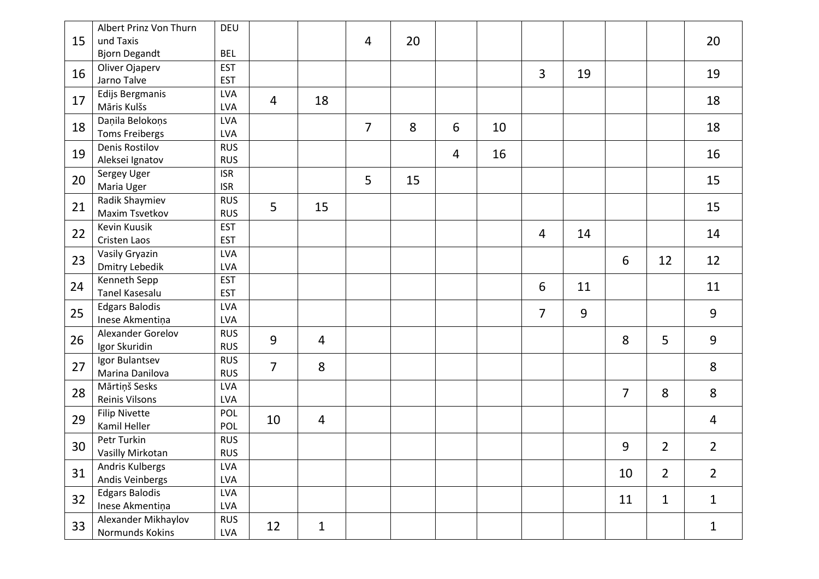|    | Albert Prinz Von Thurn | DEU        |                |              |                |    |                |    |                |    |                |                |                |
|----|------------------------|------------|----------------|--------------|----------------|----|----------------|----|----------------|----|----------------|----------------|----------------|
| 15 | und Taxis              |            |                |              | 4              | 20 |                |    |                |    |                |                | 20             |
|    | <b>Bjorn Degandt</b>   | <b>BEL</b> |                |              |                |    |                |    |                |    |                |                |                |
| 16 | Oliver Ojaperv         | <b>EST</b> |                |              |                |    |                |    |                |    |                |                |                |
|    | Jarno Talve            | <b>EST</b> |                |              |                |    |                |    | $\overline{3}$ | 19 |                |                | 19             |
| 17 | Edijs Bergmanis        | <b>LVA</b> |                |              |                |    |                |    |                |    |                |                |                |
|    | Māris Kulšs            | <b>LVA</b> | $\overline{4}$ | 18           |                |    |                |    |                |    |                |                | 18             |
| 18 | Daņila Belokoņs        | <b>LVA</b> |                |              | $\overline{7}$ | 8  | 6              | 10 |                |    |                |                | 18             |
|    | <b>Toms Freibergs</b>  | <b>LVA</b> |                |              |                |    |                |    |                |    |                |                |                |
| 19 | Denis Rostilov         | <b>RUS</b> |                |              |                |    | $\overline{4}$ | 16 |                |    |                |                | 16             |
|    | Aleksei Ignatov        | <b>RUS</b> |                |              |                |    |                |    |                |    |                |                |                |
| 20 | Sergey Uger            | <b>ISR</b> |                |              | 5              | 15 |                |    |                |    |                |                | 15             |
|    | Maria Uger             | <b>ISR</b> |                |              |                |    |                |    |                |    |                |                |                |
| 21 | Radik Shaymiev         | <b>RUS</b> | 5              | 15           |                |    |                |    |                |    |                |                | 15             |
|    | Maxim Tsvetkov         | <b>RUS</b> |                |              |                |    |                |    |                |    |                |                |                |
| 22 | Kevin Kuusik           | <b>EST</b> |                |              |                |    |                |    | 4              | 14 |                |                | 14             |
|    | Cristen Laos           | <b>EST</b> |                |              |                |    |                |    |                |    |                |                |                |
| 23 | Vasily Gryazin         | <b>LVA</b> |                |              |                |    |                |    |                |    | 6              | 12             | 12             |
|    | Dmitry Lebedik         | <b>LVA</b> |                |              |                |    |                |    |                |    |                |                |                |
| 24 | Kenneth Sepp           | <b>EST</b> |                |              |                |    |                |    | 6              | 11 |                |                | 11             |
|    | Tanel Kasesalu         | <b>EST</b> |                |              |                |    |                |    |                |    |                |                |                |
| 25 | <b>Edgars Balodis</b>  | <b>LVA</b> |                |              |                |    |                |    | $\overline{7}$ | 9  |                |                | 9              |
|    | Inese Akmentiņa        | <b>LVA</b> |                |              |                |    |                |    |                |    |                |                |                |
| 26 | Alexander Gorelov      | <b>RUS</b> | 9              | 4            |                |    |                |    |                |    | 8              | 5              | 9              |
|    | Igor Skuridin          | <b>RUS</b> |                |              |                |    |                |    |                |    |                |                |                |
| 27 | Igor Bulantsev         | <b>RUS</b> | $\overline{7}$ | 8            |                |    |                |    |                |    |                |                | 8              |
|    | Marina Danilova        | <b>RUS</b> |                |              |                |    |                |    |                |    |                |                |                |
| 28 | Mārtiņš Sesks          | <b>LVA</b> |                |              |                |    |                |    |                |    | $\overline{7}$ | 8              | 8              |
|    | <b>Reinis Vilsons</b>  | <b>LVA</b> |                |              |                |    |                |    |                |    |                |                |                |
| 29 | <b>Filip Nivette</b>   | POL        | 10             | 4            |                |    |                |    |                |    |                |                | 4              |
|    | Kamil Heller           | POL        |                |              |                |    |                |    |                |    |                |                |                |
| 30 | Petr Turkin            | <b>RUS</b> |                |              |                |    |                |    |                |    | 9              | $\overline{2}$ | $\overline{2}$ |
|    | Vasilly Mirkotan       | <b>RUS</b> |                |              |                |    |                |    |                |    |                |                |                |
| 31 | Andris Kulbergs        | <b>LVA</b> |                |              |                |    |                |    |                |    | 10             | $\overline{2}$ | $\overline{2}$ |
|    | Andis Veinbergs        | <b>LVA</b> |                |              |                |    |                |    |                |    |                |                |                |
| 32 | <b>Edgars Balodis</b>  | <b>LVA</b> |                |              |                |    |                |    |                |    | 11             | $\mathbf{1}$   | $\mathbf{1}$   |
|    | Inese Akmentiņa        | <b>LVA</b> |                |              |                |    |                |    |                |    |                |                |                |
| 33 | Alexander Mikhaylov    | <b>RUS</b> | 12             | $\mathbf{1}$ |                |    |                |    |                |    |                |                | $\mathbf{1}$   |
|    | Normunds Kokins        | LVA        |                |              |                |    |                |    |                |    |                |                |                |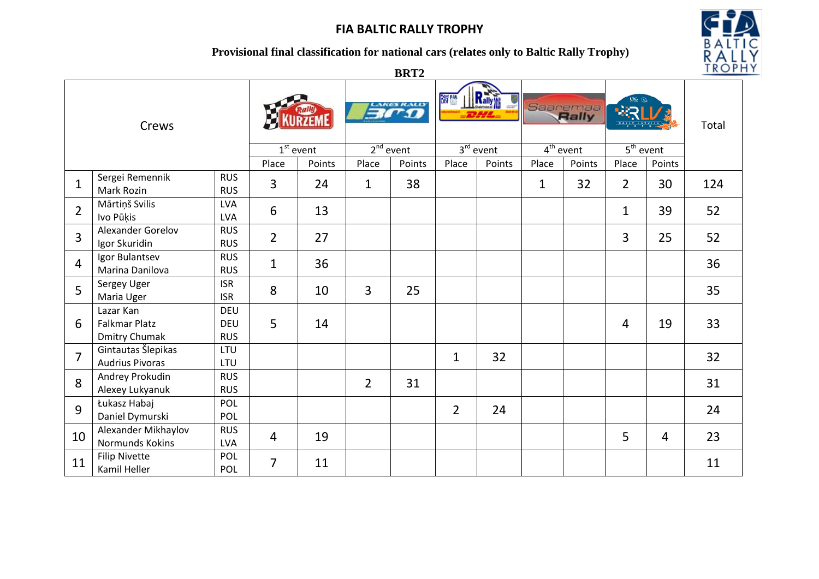### **Provisional final classification for national cars (relates only to Baltic Rally Trophy)**



**BRT2**

| Crews          |                                                           |                                        |                |                           | <b>EXECUTED</b> |        | Rally<br>商鹽    |        | Saaremaa    |        |                |                | Total |
|----------------|-----------------------------------------------------------|----------------------------------------|----------------|---------------------------|-----------------|--------|----------------|--------|-------------|--------|----------------|----------------|-------|
|                |                                                           |                                        |                | $\overline{1^{st}}$ event | $2nd$ event     |        | $3rd$ event    |        | $4th$ event |        | $5th$ event    |                |       |
|                |                                                           |                                        | Place          | Points                    | Place           | Points | Place          | Points | Place       | Points | Place          | Points         |       |
| $\mathbf{1}$   | Sergei Remennik<br>Mark Rozin                             | <b>RUS</b><br><b>RUS</b>               | $\overline{3}$ | 24                        | $\mathbf{1}$    | 38     |                |        | $\mathbf 1$ | 32     | $\overline{2}$ | 30             | 124   |
| $\overline{2}$ | Mārtiņš Svilis<br>Ivo Pūķis                               | <b>LVA</b><br><b>LVA</b>               | 6              | 13                        |                 |        |                |        |             |        | $\mathbf 1$    | 39             | 52    |
| 3              | Alexander Gorelov<br>Igor Skuridin                        | <b>RUS</b><br><b>RUS</b>               | $\overline{2}$ | 27                        |                 |        |                |        |             |        | 3              | 25             | 52    |
| 4              | Igor Bulantsev<br>Marina Danilova                         | <b>RUS</b><br><b>RUS</b>               | $\mathbf{1}$   | 36                        |                 |        |                |        |             |        |                |                | 36    |
| 5              | Sergey Uger<br>Maria Uger                                 | <b>ISR</b><br><b>ISR</b>               | 8              | 10                        | 3               | 25     |                |        |             |        |                |                | 35    |
| 6              | Lazar Kan<br><b>Falkmar Platz</b><br><b>Dmitry Chumak</b> | <b>DEU</b><br><b>DEU</b><br><b>RUS</b> | 5              | 14                        |                 |        |                |        |             |        | $\overline{4}$ | 19             | 33    |
| $\overline{7}$ | Gintautas Šlepikas<br><b>Audrius Pivoras</b>              | LTU<br>LTU                             |                |                           |                 |        | $\mathbf{1}$   | 32     |             |        |                |                | 32    |
| 8              | Andrey Prokudin<br>Alexey Lukyanuk                        | <b>RUS</b><br><b>RUS</b>               |                |                           | $\overline{2}$  | 31     |                |        |             |        |                |                | 31    |
| 9              | Łukasz Habaj<br>Daniel Dymurski                           | POL<br>POL                             |                |                           |                 |        | $\overline{2}$ | 24     |             |        |                |                | 24    |
| 10             | Alexander Mikhaylov<br>Normunds Kokins                    | <b>RUS</b><br><b>LVA</b>               | 4              | 19                        |                 |        |                |        |             |        | 5              | $\overline{4}$ | 23    |
| 11             | <b>Filip Nivette</b><br>Kamil Heller                      | POL<br>POL                             | $\overline{7}$ | 11                        |                 |        |                |        |             |        |                |                | 11    |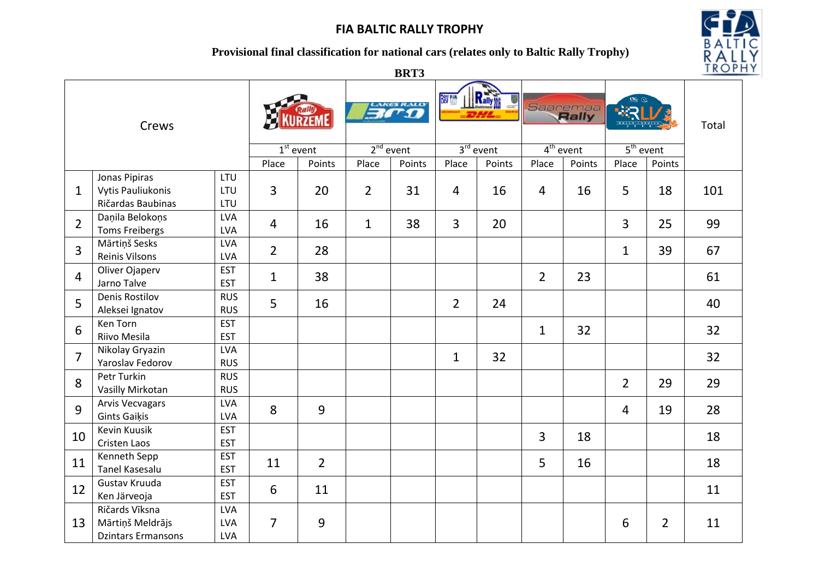### **Provisional final classification for national cars (relates only to Baltic Rally Trophy)**



**BRT3**

| Crews          |                                                                 |                                 |                | <b>Bro</b>     |                | Rally<br>辭鹽 |                | Saaremaa    |                |             |                | Total          |     |
|----------------|-----------------------------------------------------------------|---------------------------------|----------------|----------------|----------------|-------------|----------------|-------------|----------------|-------------|----------------|----------------|-----|
|                |                                                                 |                                 |                | $1st$ event    |                | $2nd$ event |                | $3rd$ event |                | $4th$ event |                | $5th$ event    |     |
|                |                                                                 |                                 | Place          | Points         | Place          | Points      | Place          | Points      | Place          | Points      | Place          | Points         |     |
| $\mathbf{1}$   | Jonas Pipiras<br><b>Vytis Pauliukonis</b><br>Ričardas Baubinas  | LTU<br>LTU<br>LTU               | 3              | 20             | $\overline{2}$ | 31          | $\overline{4}$ | 16          | $\overline{4}$ | 16          | 5              | 18             | 101 |
| $\overline{2}$ | Daņila Belokoņs<br><b>Toms Freibergs</b>                        | <b>LVA</b><br><b>LVA</b>        | $\overline{4}$ | 16             | $\mathbf{1}$   | 38          | 3              | 20          |                |             | 3              | 25             | 99  |
| 3              | Mārtiņš Sesks<br>Reinis Vilsons                                 | <b>LVA</b><br><b>LVA</b>        | $\overline{2}$ | 28             |                |             |                |             |                |             | $\mathbf{1}$   | 39             | 67  |
| 4              | Oliver Ojaperv<br>Jarno Talve                                   | <b>EST</b><br><b>EST</b>        | $\mathbf{1}$   | 38             |                |             |                |             | $\overline{2}$ | 23          |                |                | 61  |
| 5              | <b>Denis Rostilov</b><br>Aleksei Ignatov                        | <b>RUS</b><br><b>RUS</b>        | 5              | 16             |                |             | $\overline{2}$ | 24          |                |             |                |                | 40  |
| 6              | Ken Torn<br>Riivo Mesila                                        | <b>EST</b><br><b>EST</b>        |                |                |                |             |                |             | $\mathbf{1}$   | 32          |                |                | 32  |
| $\overline{7}$ | Nikolay Gryazin<br>Yaroslav Fedorov                             | <b>LVA</b><br><b>RUS</b>        |                |                |                |             | $\mathbf{1}$   | 32          |                |             |                |                | 32  |
| 8              | Petr Turkin<br>Vasilly Mirkotan                                 | <b>RUS</b><br><b>RUS</b>        |                |                |                |             |                |             |                |             | $\overline{2}$ | 29             | 29  |
| 9              | <b>Arvis Vecvagars</b><br><b>Gints Gaikis</b>                   | <b>LVA</b><br><b>LVA</b>        | 8              | 9              |                |             |                |             |                |             | 4              | 19             | 28  |
| 10             | <b>Kevin Kuusik</b><br><b>Cristen Laos</b>                      | <b>EST</b><br><b>EST</b>        |                |                |                |             |                |             | $\overline{3}$ | 18          |                |                | 18  |
| 11             | Kenneth Sepp<br><b>Tanel Kasesalu</b>                           | <b>EST</b><br><b>EST</b>        | 11             | $\overline{2}$ |                |             |                |             | 5              | 16          |                |                | 18  |
| 12             | Gustav Kruuda<br>Ken Järveoja                                   | <b>EST</b><br><b>EST</b>        | 6              | 11             |                |             |                |             |                |             |                |                | 11  |
| 13             | Ričards Vīksna<br>Mārtiņš Meldrājs<br><b>Dzintars Ermansons</b> | <b>LVA</b><br>LVA<br><b>LVA</b> | $\overline{7}$ | 9              |                |             |                |             |                |             | 6              | $\overline{2}$ | 11  |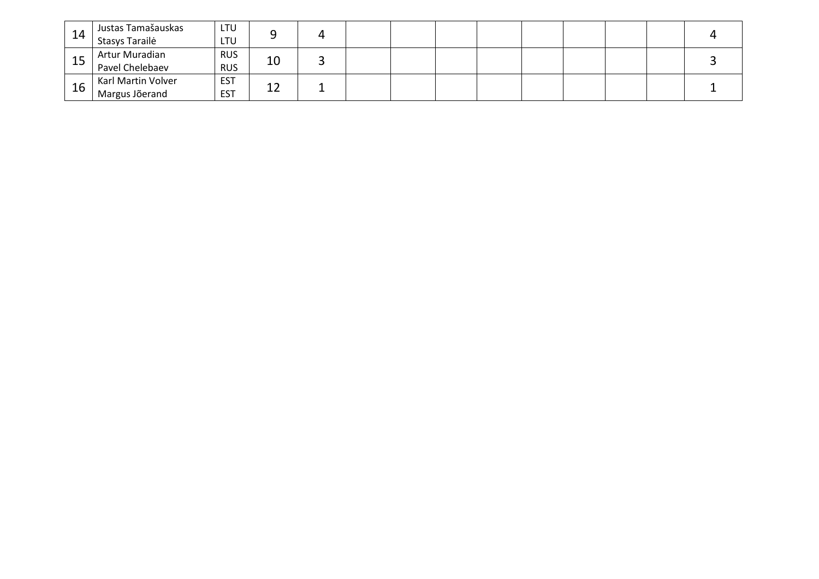| 14 | Justas Tamašauskas<br>Stasys Tarailė | LTU<br>LTU               |    |  |  |  |  |  |
|----|--------------------------------------|--------------------------|----|--|--|--|--|--|
| 15 | Artur Muradian<br>Pavel Chelebaev    | <b>RUS</b><br><b>RUS</b> | 10 |  |  |  |  |  |
| 16 | Karl Martin Volver<br>Margus Jõerand | <b>EST</b><br><b>EST</b> | ᅩᄼ |  |  |  |  |  |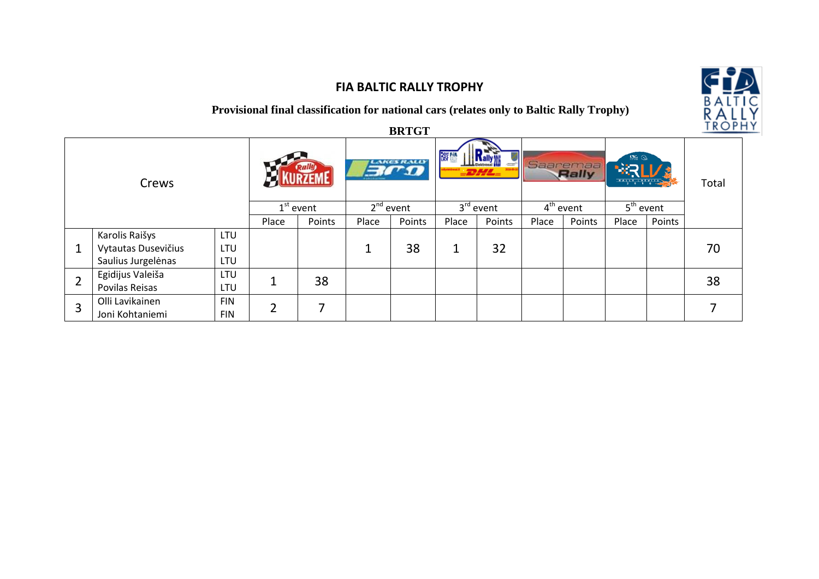### **Provisional final classification for national cars (relates only to Baltic Rally Trophy)**

|                |                     |                             |                |                                        |       | <b>BRTGT</b>                  |       |                         |       |                               |       |        | ROPH |
|----------------|---------------------|-----------------------------|----------------|----------------------------------------|-------|-------------------------------|-------|-------------------------|-------|-------------------------------|-------|--------|------|
| Crews          |                     | <b>Ralig</b><br>$1st$ event |                | LAKES RALLY<br>$-20050$<br>$2nd$ event |       | 窗户<br>$-2H/H=$<br>$3rd$ event |       | Saaremaa<br>$4th$ event |       | $58 \, \Omega$<br>$5th$ event |       | Total  |      |
|                |                     |                             | Place          | Points                                 | Place | Points                        | Place | Points                  | Place | Points                        | Place | Points |      |
|                | Karolis Raišys      | LTU                         |                |                                        |       |                               |       |                         |       |                               |       |        |      |
| $\mathbf{1}$   | Vytautas Dusevičius | LTU                         |                |                                        |       | 38                            | 1     | 32                      |       |                               |       |        | 70   |
|                | Saulius Jurgelėnas  | LTU                         |                |                                        |       |                               |       |                         |       |                               |       |        |      |
| $\overline{2}$ | Egidijus Valeiša    | LTU                         |                |                                        |       |                               |       |                         |       |                               |       |        | 38   |
|                | Povilas Reisas      | LTU                         |                | 38                                     |       |                               |       |                         |       |                               |       |        |      |
| 3              | Olli Lavikainen     | <b>FIN</b>                  | $\overline{2}$ | 7                                      |       |                               |       |                         |       |                               |       |        | ⇁    |
|                | Joni Kohtaniemi     | <b>FIN</b>                  |                |                                        |       |                               |       |                         |       |                               |       |        |      |